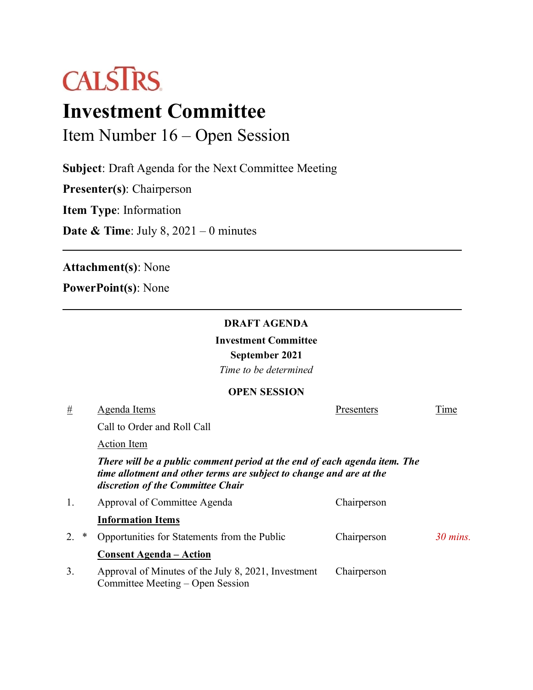

# **Investment Committee**

Item Number 16 – Open Session

**Subject**: Draft Agenda for the Next Committee Meeting

**Presenter(s)**: Chairperson

**Item Type**: Information

**Date & Time**: July 8, 2021 – 0 minutes

**Attachment(s)**: None

**PowerPoint(s)**: None

## **DRAFT AGENDA**

**Investment Committee**

**September 2021** 

*Time to be determined*

## **OPEN SESSION**

| #       | Agenda Items                                                                                                                                                                          | Presenters  | Time       |
|---------|---------------------------------------------------------------------------------------------------------------------------------------------------------------------------------------|-------------|------------|
|         | Call to Order and Roll Call                                                                                                                                                           |             |            |
|         | <b>Action Item</b>                                                                                                                                                                    |             |            |
|         | There will be a public comment period at the end of each agenda item. The<br>time allotment and other terms are subject to change and are at the<br>discretion of the Committee Chair |             |            |
| 1.      | Approval of Committee Agenda                                                                                                                                                          | Chairperson |            |
|         | <b>Information Items</b>                                                                                                                                                              |             |            |
| 2.<br>∗ | Opportunities for Statements from the Public                                                                                                                                          | Chairperson | $30$ mins. |
|         | <b>Consent Agenda - Action</b>                                                                                                                                                        |             |            |
| 3.      | Approval of Minutes of the July 8, 2021, Investment<br>Committee Meeting – Open Session                                                                                               | Chairperson |            |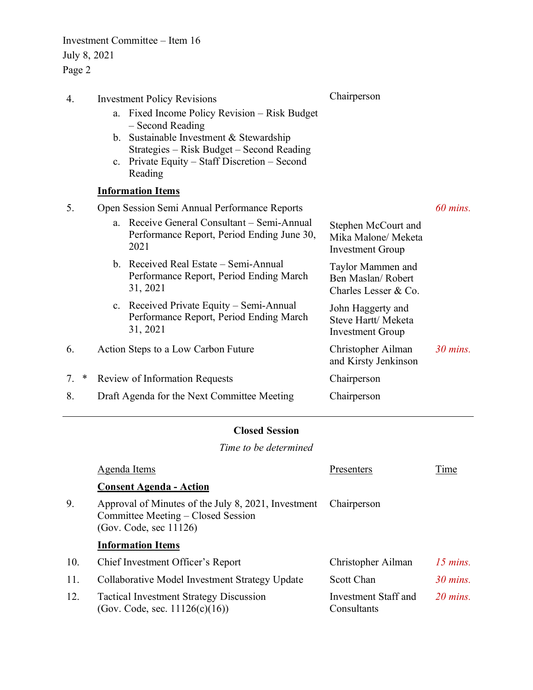Investment Committee – Item 16 July 8, 2021 Page 2

| <b>Investment Policy Revisions</b>                                                                            | Chairperson                                                           |            |  |  |
|---------------------------------------------------------------------------------------------------------------|-----------------------------------------------------------------------|------------|--|--|
| Fixed Income Policy Revision – Risk Budget<br>a.<br>- Second Reading                                          |                                                                       |            |  |  |
| b. Sustainable Investment & Stewardship                                                                       |                                                                       |            |  |  |
| Private Equity – Staff Discretion – Second<br>$c_{\cdot}$<br>Reading                                          |                                                                       |            |  |  |
| <b>Information Items</b>                                                                                      |                                                                       |            |  |  |
| Open Session Semi Annual Performance Reports                                                                  |                                                                       | $60$ mins. |  |  |
| Receive General Consultant – Semi-Annual<br>$a_{\cdot}$<br>Performance Report, Period Ending June 30,<br>2021 | Stephen McCourt and<br>Mika Malone/ Meketa<br><b>Investment Group</b> |            |  |  |
| b. Received Real Estate – Semi-Annual<br>Performance Report, Period Ending March<br>31, 2021                  | Taylor Mammen and<br>Ben Maslan/Robert<br>Charles Lesser & Co.        |            |  |  |
| c. Received Private Equity – Semi-Annual<br>Performance Report, Period Ending March<br>31, 2021               | John Haggerty and<br>Steve Hartt/ Meketa<br>Investment Group          |            |  |  |
| Action Steps to a Low Carbon Future                                                                           | Christopher Ailman<br>and Kirsty Jenkinson                            | $30$ mins. |  |  |
| Review of Information Requests                                                                                | Chairperson                                                           |            |  |  |
| Draft Agenda for the Next Committee Meeting                                                                   | Chairperson                                                           |            |  |  |
|                                                                                                               | Strategies - Risk Budget - Second Reading                             |            |  |  |

## **Closed Session**

*Time to be determined*

|     | Agenda Items                                                                                                                       | Presenters                                 | Time              |  |
|-----|------------------------------------------------------------------------------------------------------------------------------------|--------------------------------------------|-------------------|--|
|     | <b>Consent Agenda - Action</b>                                                                                                     |                                            |                   |  |
| 9.  | Approval of Minutes of the July 8, 2021, Investment<br>Chairperson<br>Committee Meeting – Closed Session<br>(Gov. Code, sec 11126) |                                            |                   |  |
|     | <b>Information Items</b>                                                                                                           |                                            |                   |  |
| 10. | Chief Investment Officer's Report                                                                                                  | Christopher Ailman                         | $15$ mins.        |  |
| 11. | Collaborative Model Investment Strategy Update                                                                                     | Scott Chan                                 | $30$ mins.        |  |
| 12. | <b>Tactical Investment Strategy Discussion</b><br>(Gov. Code, sec. $11126(c)(16)$ )                                                | <b>Investment Staff and</b><br>Consultants | $20 \text{ mins}$ |  |